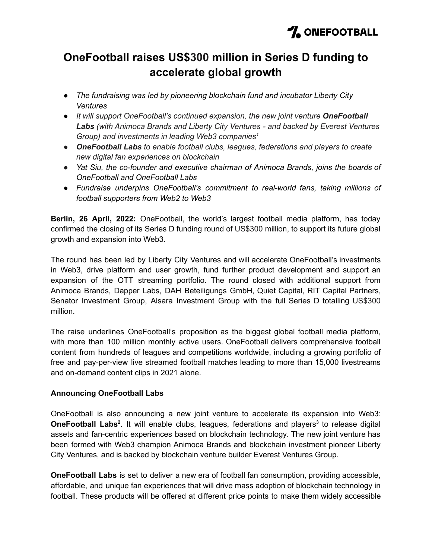# **OneFootball raises US\$300 million in Series D funding to accelerate global growth**

- *● The fundraising was led by pioneering blockchain fund and incubator Liberty City Ventures*
- *● It will support OneFootball's continued expansion, the new joint venture OneFootball Labs (with Animoca Brands and Liberty City Ventures - and backed by Everest Ventures Group) and investments in leading Web3 companies 1*
- *● OneFootball Labs to enable football clubs, leagues, federations and players to create new digital fan experiences on blockchain*
- *● Yat Siu, the co-founder and executive chairman of Animoca Brands, joins the boards of OneFootball and OneFootball Labs*
- *● Fundraise underpins OneFootball's commitment to real-world fans, taking millions of football supporters from Web2 to Web3*

**Berlin, 26 April, 2022:** OneFootball, the world's largest football media platform, has today confirmed the closing of its Series D funding round of US\$300 million, to support its future global growth and expansion into Web3.

The round has been led by Liberty City Ventures and will accelerate OneFootball's investments in Web3, drive platform and user growth, fund further product development and support an expansion of the OTT streaming portfolio. The round closed with additional support from Animoca Brands, Dapper Labs, DAH Beteiligungs GmbH, Quiet Capital, RIT Capital Partners, Senator Investment Group, Alsara Investment Group with the full Series D totalling US\$300 million.

The raise underlines OneFootball's proposition as the biggest global football media platform, with more than 100 million monthly active users. OneFootball delivers comprehensive football content from hundreds of leagues and competitions worldwide, including a growing portfolio of free and pay-per-view live streamed football matches leading to more than 15,000 livestreams and on-demand content clips in 2021 alone.

## **Announcing OneFootball Labs**

OneFootball is also announcing a new joint venture to accelerate its expansion into Web3: **OneFootball Labs<sup>2</sup>.** It will enable clubs, leagues, federations and players<sup>3</sup> to release digital assets and fan-centric experiences based on blockchain technology. The new joint venture has been formed with Web3 champion Animoca Brands and blockchain investment pioneer Liberty City Ventures, and is backed by blockchain venture builder Everest Ventures Group.

**OneFootball Labs** is set to deliver a new era of football fan consumption, providing accessible, affordable, and unique fan experiences that will drive mass adoption of blockchain technology in football. These products will be offered at different price points to make them widely accessible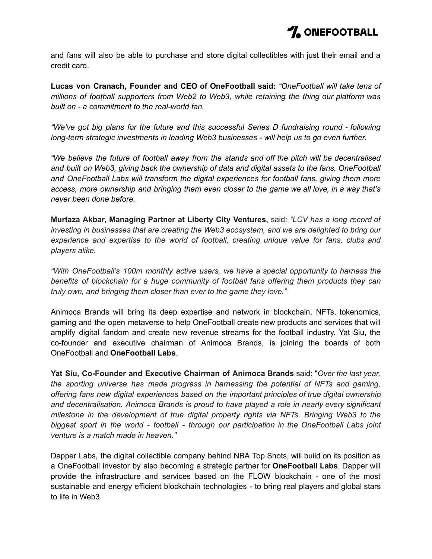

and fans will also be able to purchase and store digital collectibles with just their email and a credit card.

**Lucas von Cranach, Founder and CEO of OneFootball said:** *"OneFootball will take tens of millions of football supporters from Web2 to Web3, while retaining the thing our platform was built on - a commitment to the real-world fan.*

*"We've got big plans for the future and this successful Series D fundraising round - following long-term strategic investments in leading Web3 businesses - will help us to go even further.*

*"We believe the future of football away from the stands and off the pitch will be decentralised and built on Web3, giving back the ownership of data and digital assets to the fans. OneFootball and OneFootball Labs will transform the digital experiences for football fans, giving them more access, more ownership and bringing them even closer to the game we all love, in a way that's never been done before.*

**Murtaza Akbar, Managing Partner at Liberty City Ventures,** said*: "LCV has a long record of investing in businesses that are creating the Web3 ecosystem, and we are delighted to bring our experience and expertise to the world of football, creating unique value for fans, clubs and players alike.*

*"With OneFootball's 100m monthly active users, we have a special opportunity to harness the benefits of blockchain for a huge community of football fans offering them products they can truly own, and bringing them closer than ever to the game they love."*

Animoca Brands will bring its deep expertise and network in blockchain, NFTs, tokenomics, gaming and the open metaverse to help OneFootball create new products and services that will amplify digital fandom and create new revenue streams for the football industry. Yat Siu, the co-founder and executive chairman of Animoca Brands, is joining the boards of both OneFootball and **OneFootball Labs**.

**Yat Siu, Co-Founder and Executive Chairman of Animoca Brands** said: "*Over the last year, the sporting universe has made progress in harnessing the potential of NFTs and gaming, offering fans new digital experiences based on the important principles of true digital ownership and decentralisation. Animoca Brands is proud to have played a role in nearly every significant milestone in the development of true digital property rights via NFTs. Bringing Web3 to the biggest sport in the world - football - through our participation in the OneFootball Labs joint venture is a match made in heaven."*

Dapper Labs, the digital collectible company behind NBA Top Shots, will build on its position as a OneFootball investor by also becoming a strategic partner for **OneFootball Labs**. Dapper will provide the infrastructure and services based on the FLOW blockchain - one of the most sustainable and energy efficient blockchain technologies - to bring real players and global stars to life in Web3.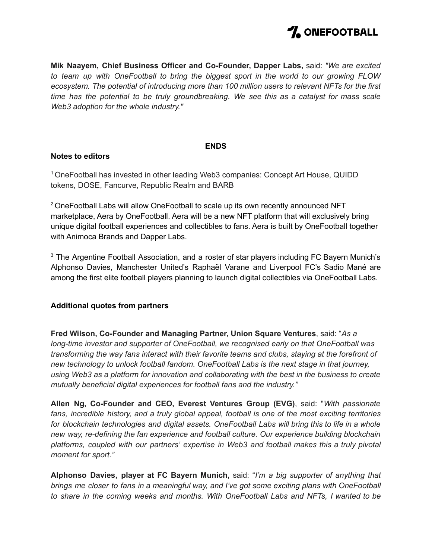

**Mik Naayem, Chief Business Officer and Co-Founder, Dapper Labs,** said: *"We are excited to team up with OneFootball to bring the biggest sport in the world to our growing FLOW ecosystem. The potential of introducing more than 100 million users to relevant NFTs for the first time has the potential to be truly groundbreaking. We see this as a catalyst for mass scale Web3 adoption for the whole industry."*

#### **ENDS**

#### **Notes to editors**

<sup>1</sup> OneFootball has invested in other leading Web3 companies: Concept Art House, QUIDD tokens, DOSE, Fancurve, Republic Realm and BARB

<sup>2</sup> OneFootball Labs will allow OneFootball to scale up its own recently announced NFT marketplace, Aera by OneFootball. Aera will be a new NFT platform that will exclusively bring unique digital football experiences and collectibles to fans. Aera is built by OneFootball together with Animoca Brands and Dapper Labs.

<sup>3</sup> The Argentine Football Association, and a roster of star players including FC Bayern Munich's Alphonso Davies, Manchester United's Raphaël Varane and Liverpool FC's Sadio Mané are among the first elite football players planning to launch digital collectibles via OneFootball Labs.

#### **Additional quotes from partners**

**Fred Wilson, Co-Founder and Managing Partner, Union Square Ventures**, said: "*As a long-time investor and supporter of OneFootball, we recognised early on that OneFootball was transforming the way fans interact with their favorite teams and clubs, staying at the forefront of new technology to unlock football fandom. OneFootball Labs is the next stage in that journey, using Web3 as a platform for innovation and collaborating with the best in the business to create mutually beneficial digital experiences for football fans and the industry."*

**Allen Ng, Co-Founder and CEO, Everest Ventures Group (EVG)**, said: "*With passionate fans, incredible history, and a truly global appeal, football is one of the most exciting territories for blockchain technologies and digital assets. OneFootball Labs will bring this to life in a whole new way, re-defining the fan experience and football culture. Our experience building blockchain platforms, coupled with our partners' expertise in Web3 and football makes this a truly pivotal moment for sport."*

**Alphonso Davies, player at FC Bayern Munich,** said: "*I'm a big supporter of anything that brings me closer to fans in a meaningful way, and I've got some exciting plans with OneFootball to share in the coming weeks and months. With OneFootball Labs and NFTs, I wanted to be*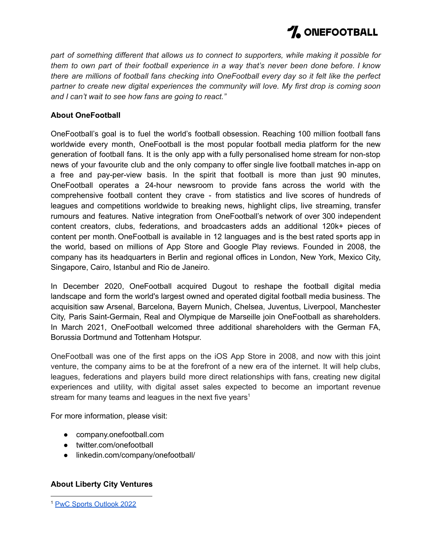

*part of something different that allows us to connect to supporters, while making it possible for them to own part of their football experience in a way that's never been done before. I know there are millions of football fans checking into OneFootball every day so it felt like the perfect partner to create new digital experiences the community will love. My first drop is coming soon and I can't wait to see how fans are going to react."*

## **About OneFootball**

OneFootball's goal is to fuel the world's football obsession. Reaching 100 million football fans worldwide every month, OneFootball is the most popular football media platform for the new generation of football fans. It is the only app with a fully personalised home stream for non-stop news of your favourite club and the only company to offer single live football matches in-app on a free and pay-per-view basis. In the spirit that football is more than just 90 minutes, OneFootball operates a 24-hour newsroom to provide fans across the world with the comprehensive football content they crave - from statistics and live scores of hundreds of leagues and competitions worldwide to breaking news, highlight clips, live streaming, transfer rumours and features. Native integration from OneFootball's network of over 300 independent content creators, clubs, federations, and broadcasters adds an additional 120k+ pieces of content per month. OneFootball is available in 12 languages and is the best rated sports app in the world, based on millions of App Store and Google Play reviews. Founded in 2008, the company has its headquarters in Berlin and regional offices in London, New York, Mexico City, Singapore, Cairo, Istanbul and Rio de Janeiro.

In December 2020, OneFootball acquired Dugout to reshape the football digital media landscape and form the world's largest owned and operated digital football media business. The acquisition saw Arsenal, Barcelona, Bayern Munich, Chelsea, Juventus, Liverpool, Manchester City, Paris Saint-Germain, Real and Olympique de Marseille join OneFootball as shareholders. In March 2021, OneFootball welcomed three additional shareholders with the German FA, Borussia Dortmund and Tottenham Hotspur.

OneFootball was one of the first apps on the iOS App Store in 2008, and now with this joint venture, the company aims to be at the forefront of a new era of the internet. It will help clubs, leagues, federations and players build more direct relationships with fans, creating new digital experiences and utility, with digital asset sales expected to become an important revenue stream for many teams and leagues in the next five years<sup>1</sup>

For more information, please visit:

- company.onefootball.com
- twitter.com/onefootball
- linkedin.com/company/onefootball/

## **About Liberty City Ventures**

<sup>1</sup> PwC Sports [Outlook](https://www.pwc.com/us/en/industries/tmt/library/assets/pwc-tmt-sports-outlook.pdf) 2022